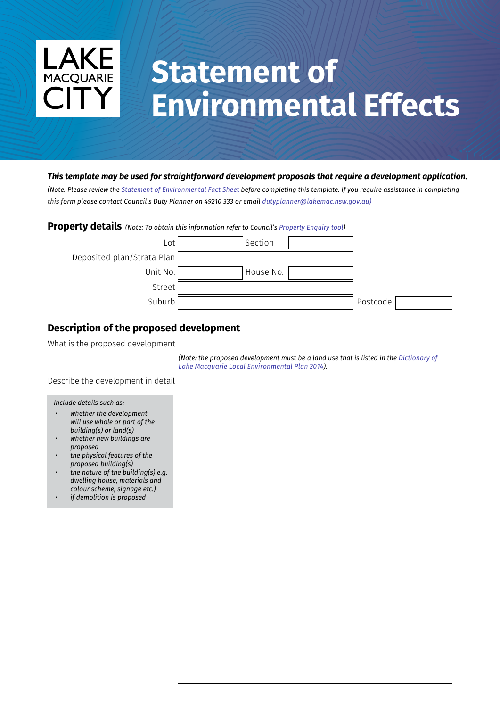

# **Statement of Environmental Effects**

#### *This template may be used for straightforward development proposals that require a development application.*

*(Note: Please review the [Statement of Environmental Fact Sheet](https://www.lakemac.com.au/files/assets/public/development/see_fact-sheet.pdf) before completing this template. If you require assistance in completing this form please contact Council's Duty Planner on 49210 333 or email dutyplanner@lakemac.nsw.gov.au)*

#### **Property details** *(Note: To obtain this information refer to Council's [Property Enquiry tool\)](https://www.lakemac.com.au/Development/Planning-and-development-services/Property-Enquiry)*



## **Description of the proposed development**



*[\(Note: the proposed development must be a land use that is listed in the Dictionary of](https://www.legislation.nsw.gov.au/#/view/EPI/2014/605/dict1) Lake Macquarie Local Environmental Plan 2014).* 

Describe the development in detail

*Include details such as:*

- *• whether the development will use whole or part of the building(s) or land(s) • whether new buildings are*
- *proposed*
- *• the physical features of the proposed building(s)*
- *• the nature of the building(s) e.g. dwelling house, materials and colour scheme, signage etc.)*
- *• if demolition is proposed*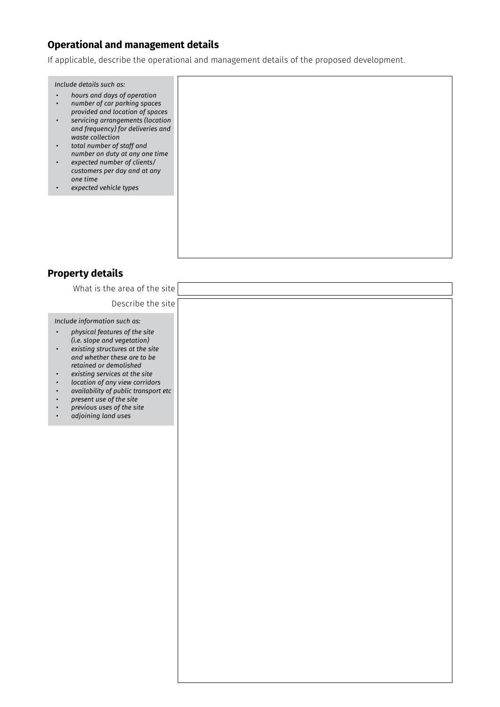# **Operational and management details**

If applicable, describe the operational and management details of the proposed development.

*Include details such as:*

- *• hours and days of operation • number of car parking spaces*
- *provided and location of spaces • servicing arrangements (location and frequency) for deliveries and waste collection*
- *• total number of staff and number on duty at any one time*
- *• expected number of clients/ customers per day and at any one time*
- *• expected vehicle types*

# **Property details**

| What is the area of the site                                                                                                                                                                                                                                                                                                                                                                                              |  |
|---------------------------------------------------------------------------------------------------------------------------------------------------------------------------------------------------------------------------------------------------------------------------------------------------------------------------------------------------------------------------------------------------------------------------|--|
| Describe the site                                                                                                                                                                                                                                                                                                                                                                                                         |  |
| Include information such as:<br>physical features of the site<br>$\bullet$<br>(i.e. slope and vegetation)<br>existing structures at the site<br>$\bullet$<br>and whether these are to be<br>retained or demolished<br>existing services at the site<br>$\bullet$<br>location of any view corridors<br>availability of public transport etc<br>present use of the site<br>previous uses of the site<br>adjoining land uses |  |
|                                                                                                                                                                                                                                                                                                                                                                                                                           |  |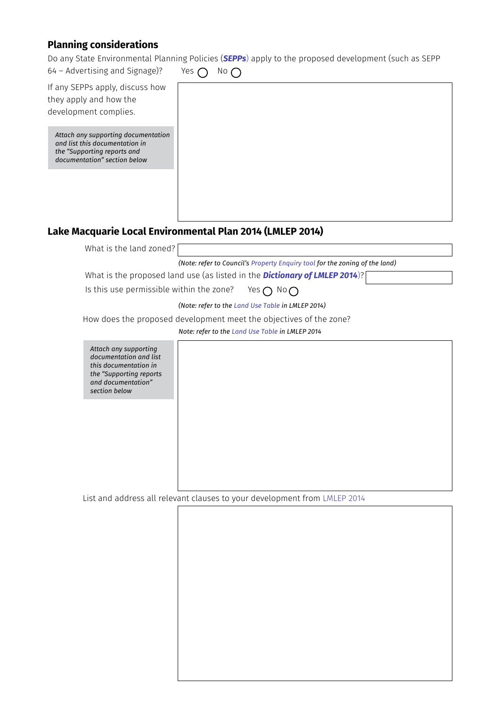# **Planning considerations**

Do any State Environmental Planning Policies (*[SEPPs](https://www.legislation.nsw.gov.au/#/browse/inForce/EPIs/S)*) apply to the proposed development (such as SEPP

| 64 - Advertising and Signage)?                                                                                                             | Yes $\bigcap$<br>$No$ $\bigcap$                                             |
|--------------------------------------------------------------------------------------------------------------------------------------------|-----------------------------------------------------------------------------|
| If any SEPPs apply, discuss how                                                                                                            |                                                                             |
| they apply and how the                                                                                                                     |                                                                             |
| development complies.                                                                                                                      |                                                                             |
|                                                                                                                                            |                                                                             |
| Attach any supporting documentation<br>and list this documentation in<br>the "Supporting reports and<br>documentation" section below       |                                                                             |
|                                                                                                                                            |                                                                             |
|                                                                                                                                            | Lake Macquarie Local Environmental Plan 2014 (LMLEP 2014)                   |
| What is the land zoned?                                                                                                                    |                                                                             |
|                                                                                                                                            | (Note: refer to Council's Property Enquiry tool for the zoning of the land) |
|                                                                                                                                            | What is the proposed land use (as listed in the Dictionary of LMLEP 2014)?  |
|                                                                                                                                            |                                                                             |
| Is this use permissible within the zone?                                                                                                   | Yes $\bigcap$ No $\bigcap$                                                  |
|                                                                                                                                            | (Note: refer to the Land Use Table in LMLEP 2014)                           |
|                                                                                                                                            | How does the proposed development meet the objectives of the zone?          |
|                                                                                                                                            | Note: refer to the Land Use Table in LMLEP 2014                             |
| Attach any supporting<br>documentation and list<br>this documentation in<br>the "Supporting reports<br>and documentation"<br>section below |                                                                             |
| List and address all relevant clauses to your development from LMLEP 2014                                                                  |                                                                             |
|                                                                                                                                            |                                                                             |